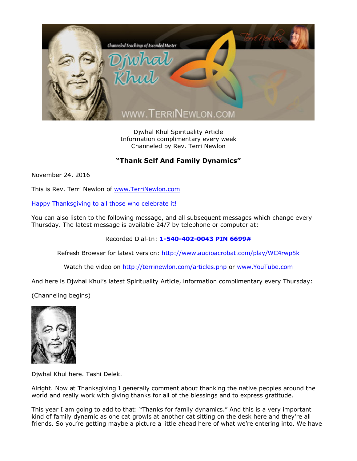

Djwhal Khul Spirituality Article Information complimentary every week Channeled by Rev. Terri Newlon

## **"Thank Self And Family Dynamics"**

November 24, 2016

This is Rev. Terri Newlon of [www.TerriNewlon.com](http://www.terrinewlon.com/)

Happy Thanksgiving to all those who celebrate it!

You can also listen to the following message, and all subsequent messages which change every Thursday. The latest message is available 24/7 by telephone or computer at:

Recorded Dial-In: **1-540-402-0043 PIN 6699#**

Refresh Browser for latest version: <http://www.audioacrobat.com/play/WC4rwp5k>

Watch the video on <http://terrinewlon.com/articles.php> or [www.YouTube.com](http://www.youtube.com/)

And here is Djwhal Khul's latest Spirituality Article, information complimentary every Thursday:

(Channeling begins)



Djwhal Khul here. Tashi Delek.

Alright. Now at Thanksgiving I generally comment about thanking the native peoples around the world and really work with giving thanks for all of the blessings and to express gratitude.

This year I am going to add to that: "Thanks for family dynamics." And this is a very important kind of family dynamic as one cat growls at another cat sitting on the desk here and they're all friends. So you're getting maybe a picture a little ahead here of what we're entering into. We have